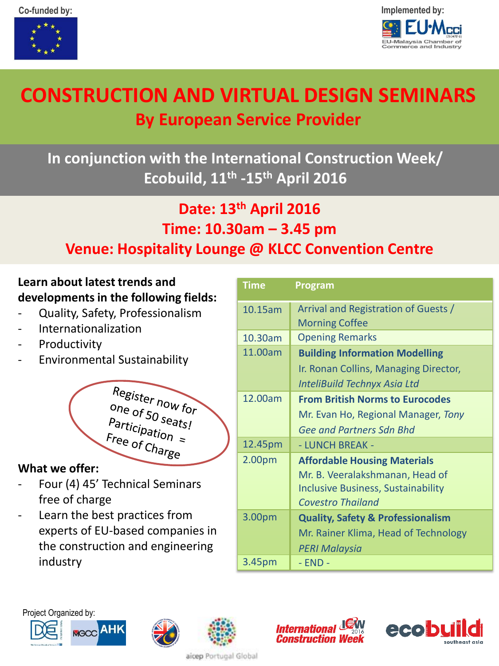



# **CONSTRUCTION AND VIRTUAL DESIGN SEMINARS By European Service Provider**

## **In conjunction with the International Construction Week/ Ecobuild, 11th -15th April 2016**

## **Date: 13th April 2016 Time: 10.30am – 3.45 pm Venue: Hospitality Lounge @ KLCC Convention Centre**

### **Learn about latest trends and developments in the following fields:**

- Quality, Safety, Professionalism
- Internationalization
- Productivity
- Environmental Sustainability

Register now for one of 50 seats!<br>Participation Participation<br>Free of cu Free of Charge

### **What we offer:**

- Four (4) 45' Technical Seminars free of charge
- Learn the best practices from experts of EU-based companies in the construction and engineering industry

**AHK** 

| <b>Time</b>        | Program                                      |  |
|--------------------|----------------------------------------------|--|
| 10.15am            | Arrival and Registration of Guests /         |  |
|                    | <b>Morning Coffee</b>                        |  |
| 10.30am            | <b>Opening Remarks</b>                       |  |
| 11.00am            | <b>Building Information Modelling</b>        |  |
|                    | Ir. Ronan Collins, Managing Director,        |  |
|                    | InteliBuild Technyx Asia Ltd                 |  |
| 12.00am            | <b>From British Norms to Eurocodes</b>       |  |
|                    | Mr. Evan Ho, Regional Manager, Tony          |  |
|                    | <b>Gee and Partners Sdn Bhd</b>              |  |
| 12.45pm            | - LUNCH BREAK -                              |  |
| 2.00 <sub>pm</sub> | <b>Affordable Housing Materials</b>          |  |
|                    | Mr. B. Veeralakshmanan, Head of              |  |
|                    | <b>Inclusive Business, Sustainability</b>    |  |
|                    | <b>Covestro Thailand</b>                     |  |
| 3.00pm             | <b>Quality, Safety &amp; Professionalism</b> |  |
|                    | Mr. Rainer Klima, Head of Technology         |  |
|                    | <b>PERI Malaysia</b>                         |  |
| 3.45pm             | - END -                                      |  |









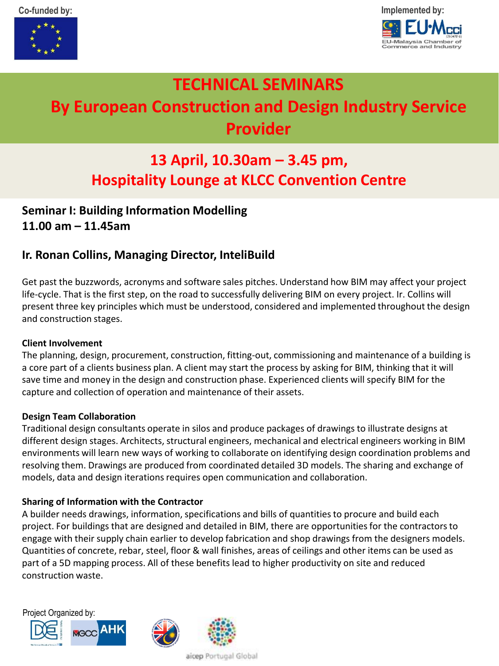



## **TECHNICAL SEMINARS By European Construction and Design Industry Service Provider**

## **13 April, 10.30am – 3.45 pm, Hospitality Lounge at KLCC Convention Centre**

### **Seminar I: Building Information Modelling 11.00 am – 11.45am**

### **Ir. Ronan Collins, Managing Director, InteliBuild**

Get past the buzzwords, acronyms and software sales pitches. Understand how BIM may affect your project life-cycle. That is the first step, on the road to successfully delivering BIM on every project. Ir. Collins will present three key principles which must be understood, considered and implemented throughout the design and construction stages.

#### **Client Involvement**

The planning, design, procurement, construction, fitting-out, commissioning and maintenance of a building is a core part of a clients business plan. A client may start the process by asking for BIM, thinking that it will save time and money in the design and construction phase. Experienced clients will specify BIM for the capture and collection of operation and maintenance of their assets.

#### **Design Team Collaboration**

Traditional design consultants operate in silos and produce packages of drawings to illustrate designs at different design stages. Architects, structural engineers, mechanical and electrical engineers working in BIM environments will learn new ways of working to collaborate on identifying design coordination problems and resolving them. Drawings are produced from coordinated detailed 3D models. The sharing and exchange of models, data and design iterations requires open communication and collaboration.

#### **Sharing of Information with the Contractor**

A builder needs drawings, information, specifications and bills of quantities to procure and build each project. For buildings that are designed and detailed in BIM, there are opportunities for the contractors to engage with their supply chain earlier to develop fabrication and shop drawings from the designers models. Quantities of concrete, rebar, steel, floor & wall finishes, areas of ceilings and other items can be used as part of a 5D mapping process. All of these benefits lead to higher productivity on site and reduced construction waste.





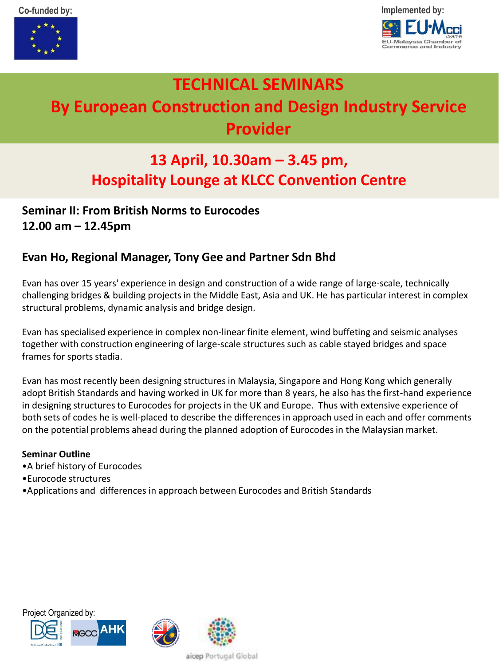



## **TECHNICAL SEMINARS By European Construction and Design Industry Service Provider**

## **13 April, 10.30am – 3.45 pm, Hospitality Lounge at KLCC Convention Centre**

### **Seminar II: From British Norms to Eurocodes 12.00 am – 12.45pm**

### **Evan Ho, Regional Manager, Tony Gee and Partner Sdn Bhd**

Evan has over 15 years' experience in design and construction of a wide range of large-scale, technically challenging bridges & building projects in the Middle East, Asia and UK. He has particular interest in complex structural problems, dynamic analysis and bridge design.

Evan has specialised experience in complex non-linear finite element, wind buffeting and seismic analyses together with construction engineering of large-scale structures such as cable stayed bridges and space frames for sports stadia.

Evan has most recently been designing structures in Malaysia, Singapore and Hong Kong which generally adopt British Standards and having worked in UK for more than 8 years, he also has the first-hand experience in designing structures to Eurocodes for projects in the UK and Europe. Thus with extensive experience of both sets of codes he is well-placed to describe the differences in approach used in each and offer comments on the potential problems ahead during the planned adoption of Eurocodes in the Malaysian market.

#### **Seminar Outline**

- •A brief history of Eurocodes
- •Eurocode structures
- •Applications and differences in approach between Eurocodes and British Standards





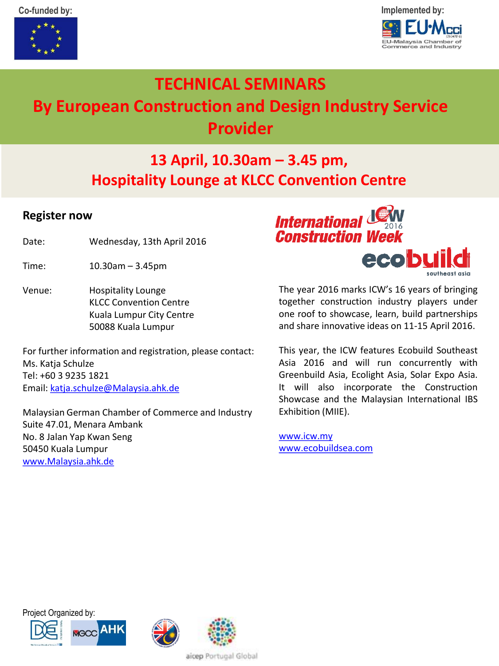



## **TECHNICAL SEMINARS By European Construction and Design Industry Service Provider**

### **13 April, 10.30am – 3.45 pm, Hospitality Lounge at KLCC Convention Centre**

#### **Register now**

- Date: Wednesday, 13th April 2016
- Time: 10.30am 3.45pm
- Venue: Hospitality Lounge KLCC Convention Centre Kuala Lumpur City Centre 50088 Kuala Lumpur

For further information and registration, please contact: Ms. Katia Schulze Tel: +60 3 9235 1821 Email: [katja.schulze@Malaysia.ahk.de](mailto:katja.Schulze@Malaysia.ahk.de)

Malaysian German Chamber of Commerce and Industry Suite 47.01, Menara Ambank No. 8 Jalan Yap Kwan Seng 50450 Kuala Lumpur [www.Malaysia.ahk.de](http://www.malaysia.ahk.de/)



The year 2016 marks ICW's 16 years of bringing together construction industry players under one roof to showcase, learn, build partnerships and share innovative ideas on 11-15 April 2016.

This year, the ICW features Ecobuild Southeast Asia 2016 and will run concurrently with Greenbuild Asia, Ecolight Asia, Solar Expo Asia. It will also incorporate the Construction Showcase and the Malaysian International IBS Exhibition (MIIE).

[www.icw.my](http://www.icw.my/) [www.ecobuildsea.com](http://www.ecobuildsea.com/)